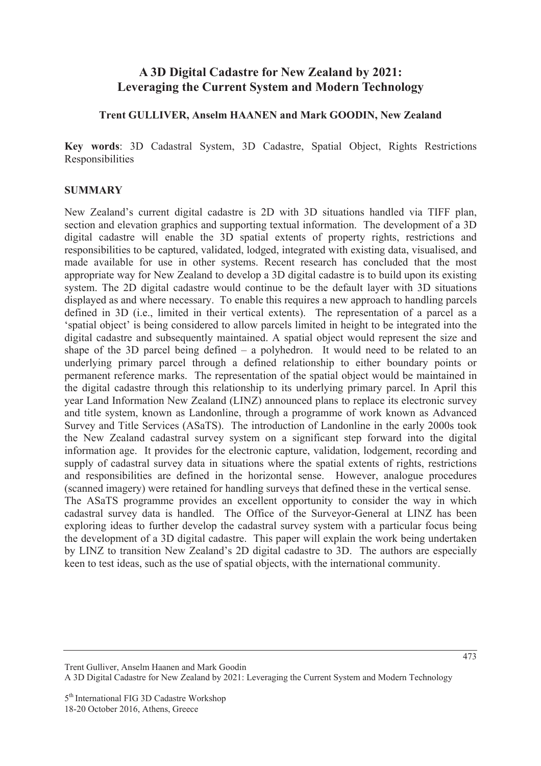# **A 3D Digital Cadastre for New Zealand by 2021: Leveraging the Current System and Modern Technology**

#### **Trent GULLIVER, Anselm HAANEN and Mark GOODIN, New Zealand**

**Key words**: 3D Cadastral System, 3D Cadastre, Spatial Object, Rights Restrictions Responsibilities

#### **SUMMARY**

New Zealand's current digital cadastre is 2D with 3D situations handled via TIFF plan, section and elevation graphics and supporting textual information. The development of a 3D digital cadastre will enable the 3D spatial extents of property rights, restrictions and responsibilities to be captured, validated, lodged, integrated with existing data, visualised, and made available for use in other systems. Recent research has concluded that the most appropriate way for New Zealand to develop a 3D digital cadastre is to build upon its existing system. The 2D digital cadastre would continue to be the default layer with 3D situations displayed as and where necessary. To enable this requires a new approach to handling parcels defined in 3D (i.e., limited in their vertical extents). The representation of a parcel as a 'spatial object' is being considered to allow parcels limited in height to be integrated into the digital cadastre and subsequently maintained. A spatial object would represent the size and shape of the 3D parcel being defined – a polyhedron. It would need to be related to an underlying primary parcel through a defined relationship to either boundary points or permanent reference marks. The representation of the spatial object would be maintained in the digital cadastre through this relationship to its underlying primary parcel. In April this year Land Information New Zealand (LINZ) announced plans to replace its electronic survey and title system, known as Landonline, through a programme of work known as Advanced Survey and Title Services (ASaTS). The introduction of Landonline in the early 2000s took the New Zealand cadastral survey system on a significant step forward into the digital information age. It provides for the electronic capture, validation, lodgement, recording and supply of cadastral survey data in situations where the spatial extents of rights, restrictions and responsibilities are defined in the horizontal sense. However, analogue procedures (scanned imagery) were retained for handling surveys that defined these in the vertical sense. The ASaTS programme provides an excellent opportunity to consider the way in which cadastral survey data is handled. The Office of the Surveyor-General at LINZ has been exploring ideas to further develop the cadastral survey system with a particular focus being the development of a 3D digital cadastre. This paper will explain the work being undertaken by LINZ to transition New Zealand's 2D digital cadastre to 3D. The authors are especially keen to test ideas, such as the use of spatial objects, with the international community.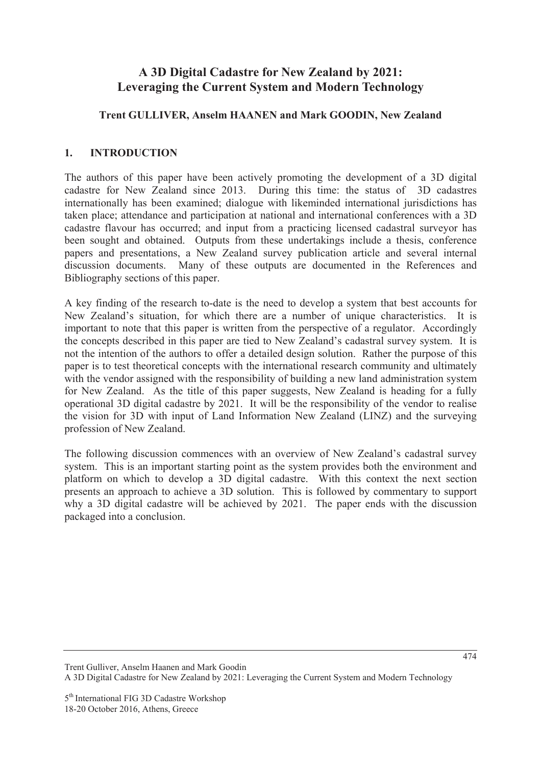# **A 3D Digital Cadastre for New Zealand by 2021: Leveraging the Current System and Modern Technology**

## **Trent GULLIVER, Anselm HAANEN and Mark GOODIN, New Zealand**

## **1. INTRODUCTION**

The authors of this paper have been actively promoting the development of a 3D digital cadastre for New Zealand since 2013. During this time: the status of 3D cadastres internationally has been examined; dialogue with likeminded international jurisdictions has taken place; attendance and participation at national and international conferences with a 3D cadastre flavour has occurred; and input from a practicing licensed cadastral surveyor has been sought and obtained. Outputs from these undertakings include a thesis, conference papers and presentations, a New Zealand survey publication article and several internal discussion documents. Many of these outputs are documented in the References and Bibliography sections of this paper.

A key finding of the research to-date is the need to develop a system that best accounts for New Zealand's situation, for which there are a number of unique characteristics. It is important to note that this paper is written from the perspective of a regulator. Accordingly the concepts described in this paper are tied to New Zealand's cadastral survey system. It is not the intention of the authors to offer a detailed design solution. Rather the purpose of this paper is to test theoretical concepts with the international research community and ultimately with the vendor assigned with the responsibility of building a new land administration system for New Zealand. As the title of this paper suggests, New Zealand is heading for a fully operational 3D digital cadastre by 2021. It will be the responsibility of the vendor to realise the vision for 3D with input of Land Information New Zealand (LINZ) and the surveying profession of New Zealand.

The following discussion commences with an overview of New Zealand's cadastral survey system. This is an important starting point as the system provides both the environment and platform on which to develop a 3D digital cadastre. With this context the next section presents an approach to achieve a 3D solution. This is followed by commentary to support why a 3D digital cadastre will be achieved by 2021. The paper ends with the discussion packaged into a conclusion.

Trent Gulliver, Anselm Haanen and Mark Goodin A 3D Digital Cadastre for New Zealand by 2021: Leveraging the Current System and Modern Technology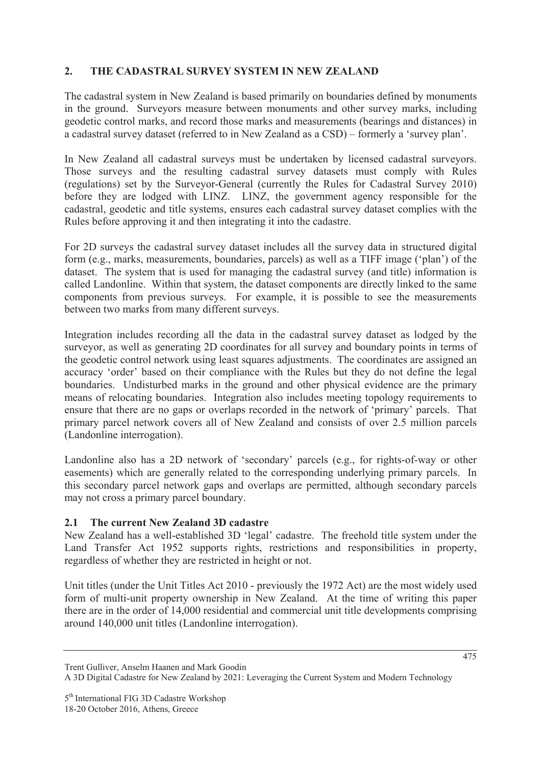## **2. THE CADASTRAL SURVEY SYSTEM IN NEW ZEALAND**

The cadastral system in New Zealand is based primarily on boundaries defined by monuments in the ground. Surveyors measure between monuments and other survey marks, including geodetic control marks, and record those marks and measurements (bearings and distances) in a cadastral survey dataset (referred to in New Zealand as a CSD) – formerly a 'survey plan'.

In New Zealand all cadastral surveys must be undertaken by licensed cadastral surveyors. Those surveys and the resulting cadastral survey datasets must comply with Rules (regulations) set by the Surveyor-General (currently the Rules for Cadastral Survey 2010) before they are lodged with LINZ. LINZ, the government agency responsible for the cadastral, geodetic and title systems, ensures each cadastral survey dataset complies with the Rules before approving it and then integrating it into the cadastre.

For 2D surveys the cadastral survey dataset includes all the survey data in structured digital form (e.g., marks, measurements, boundaries, parcels) as well as a TIFF image ('plan') of the dataset. The system that is used for managing the cadastral survey (and title) information is called Landonline. Within that system, the dataset components are directly linked to the same components from previous surveys. For example, it is possible to see the measurements between two marks from many different surveys.

Integration includes recording all the data in the cadastral survey dataset as lodged by the surveyor, as well as generating 2D coordinates for all survey and boundary points in terms of the geodetic control network using least squares adjustments. The coordinates are assigned an accuracy 'order' based on their compliance with the Rules but they do not define the legal boundaries. Undisturbed marks in the ground and other physical evidence are the primary means of relocating boundaries. Integration also includes meeting topology requirements to ensure that there are no gaps or overlaps recorded in the network of 'primary' parcels. That primary parcel network covers all of New Zealand and consists of over 2.5 million parcels (Landonline interrogation).

Landonline also has a 2D network of 'secondary' parcels (e.g., for rights-of-way or other easements) which are generally related to the corresponding underlying primary parcels. In this secondary parcel network gaps and overlaps are permitted, although secondary parcels may not cross a primary parcel boundary.

### **2.1 The current New Zealand 3D cadastre**

New Zealand has a well-established 3D 'legal' cadastre. The freehold title system under the Land Transfer Act 1952 supports rights, restrictions and responsibilities in property, regardless of whether they are restricted in height or not.

Unit titles (under the Unit Titles Act 2010 - previously the 1972 Act) are the most widely used form of multi-unit property ownership in New Zealand. At the time of writing this paper there are in the order of 14,000 residential and commercial unit title developments comprising around 140,000 unit titles (Landonline interrogation).

Trent Gulliver, Anselm Haanen and Mark Goodin

A 3D Digital Cadastre for New Zealand by 2021: Leveraging the Current System and Modern Technology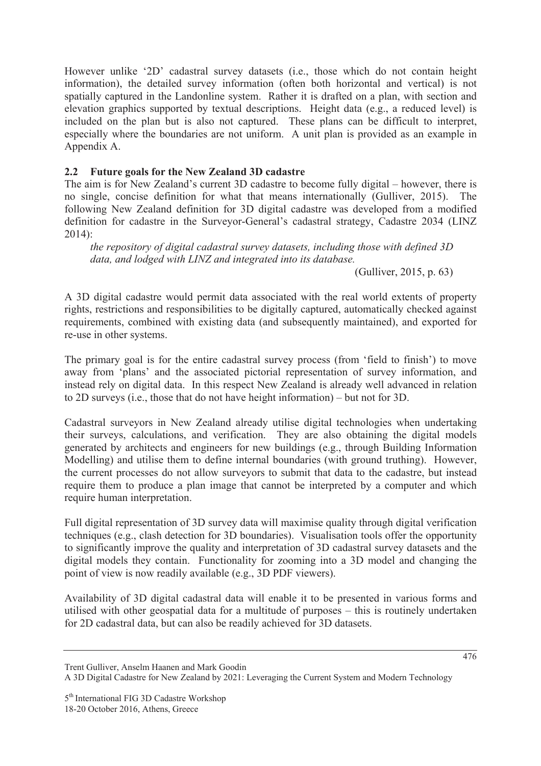However unlike '2D' cadastral survey datasets (i.e., those which do not contain height information), the detailed survey information (often both horizontal and vertical) is not spatially captured in the Landonline system. Rather it is drafted on a plan, with section and elevation graphics supported by textual descriptions. Height data (e.g., a reduced level) is included on the plan but is also not captured. These plans can be difficult to interpret, especially where the boundaries are not uniform. A unit plan is provided as an example in Appendix A.

## **2.2 Future goals for the New Zealand 3D cadastre**

The aim is for New Zealand's current 3D cadastre to become fully digital – however, there is no single, concise definition for what that means internationally (Gulliver, 2015). The following New Zealand definition for 3D digital cadastre was developed from a modified definition for cadastre in the Surveyor-General's cadastral strategy, Cadastre 2034 (LINZ 2014):

*the repository of digital cadastral survey datasets, including those with defined 3D data, and lodged with LINZ and integrated into its database.* 

(Gulliver, 2015, p. 63)

A 3D digital cadastre would permit data associated with the real world extents of property rights, restrictions and responsibilities to be digitally captured, automatically checked against requirements, combined with existing data (and subsequently maintained), and exported for re-use in other systems.

The primary goal is for the entire cadastral survey process (from 'field to finish') to move away from 'plans' and the associated pictorial representation of survey information, and instead rely on digital data. In this respect New Zealand is already well advanced in relation to 2D surveys (i.e., those that do not have height information) – but not for 3D.

Cadastral surveyors in New Zealand already utilise digital technologies when undertaking their surveys, calculations, and verification. They are also obtaining the digital models generated by architects and engineers for new buildings (e.g., through Building Information Modelling) and utilise them to define internal boundaries (with ground truthing). However, the current processes do not allow surveyors to submit that data to the cadastre, but instead require them to produce a plan image that cannot be interpreted by a computer and which require human interpretation.

Full digital representation of 3D survey data will maximise quality through digital verification techniques (e.g., clash detection for 3D boundaries). Visualisation tools offer the opportunity to significantly improve the quality and interpretation of 3D cadastral survey datasets and the digital models they contain. Functionality for zooming into a 3D model and changing the point of view is now readily available (e.g., 3D PDF viewers).

Availability of 3D digital cadastral data will enable it to be presented in various forms and utilised with other geospatial data for a multitude of purposes – this is routinely undertaken for 2D cadastral data, but can also be readily achieved for 3D datasets.

Trent Gulliver, Anselm Haanen and Mark Goodin

A 3D Digital Cadastre for New Zealand by 2021: Leveraging the Current System and Modern Technology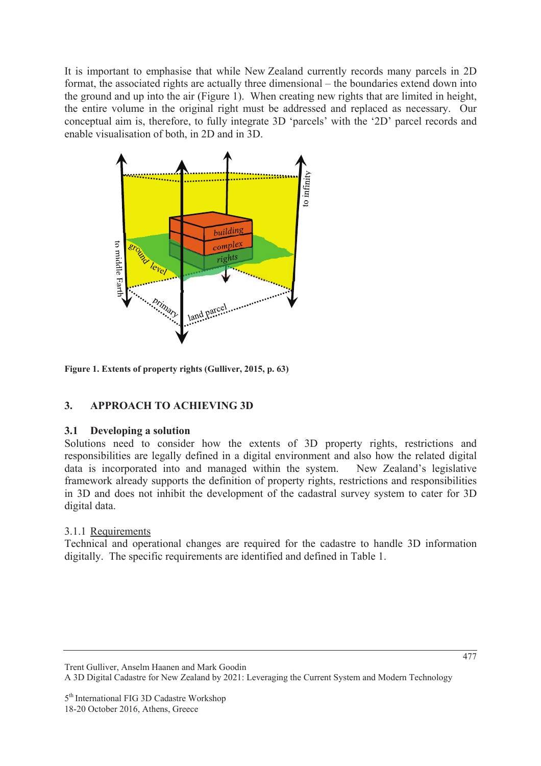It is important to emphasise that while New Zealand currently records many parcels in 2D format, the associated rights are actually three dimensional – the boundaries extend down into the ground and up into the air (Figure 1). When creating new rights that are limited in height, the entire volume in the original right must be addressed and replaced as necessary. Our conceptual aim is, therefore, to fully integrate 3D 'parcels' with the '2D' parcel records and enable visualisation of both, in 2D and in 3D.



**Figure 1. Extents of property rights (Gulliver, 2015, p. 63)** 

## **3. APPROACH TO ACHIEVING 3D**

### **3.1 Developing a solution**

Solutions need to consider how the extents of 3D property rights, restrictions and responsibilities are legally defined in a digital environment and also how the related digital data is incorporated into and managed within the system. New Zealand's legislative framework already supports the definition of property rights, restrictions and responsibilities in 3D and does not inhibit the development of the cadastral survey system to cater for 3D digital data.

## 3.1.1 Requirements

Technical and operational changes are required for the cadastre to handle 3D information digitally. The specific requirements are identified and defined in Table 1.

A 3D Digital Cadastre for New Zealand by 2021: Leveraging the Current System and Modern Technology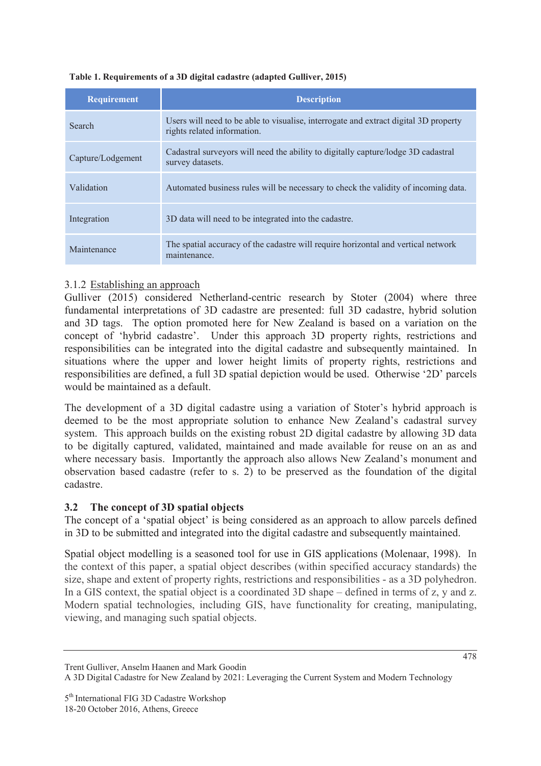#### **Table 1. Requirements of a 3D digital cadastre (adapted Gulliver, 2015)**

| <b>Requirement</b> | <b>Description</b>                                                                                                  |
|--------------------|---------------------------------------------------------------------------------------------------------------------|
| <b>Search</b>      | Users will need to be able to visualise, interrogate and extract digital 3D property<br>rights related information. |
| Capture/Lodgement  | Cadastral surveyors will need the ability to digitally capture/lodge 3D cadastral<br>survey datasets.               |
| Validation         | Automated business rules will be necessary to check the validity of incoming data.                                  |
| Integration        | 3D data will need to be integrated into the cadastre.                                                               |
| Maintenance        | The spatial accuracy of the cadastre will require horizontal and vertical network<br>maintenance.                   |

### 3.1.2 Establishing an approach

Gulliver (2015) considered Netherland-centric research by Stoter (2004) where three fundamental interpretations of 3D cadastre are presented: full 3D cadastre, hybrid solution and 3D tags. The option promoted here for New Zealand is based on a variation on the concept of 'hybrid cadastre'. Under this approach 3D property rights, restrictions and responsibilities can be integrated into the digital cadastre and subsequently maintained. In situations where the upper and lower height limits of property rights, restrictions and responsibilities are defined, a full 3D spatial depiction would be used. Otherwise '2D' parcels would be maintained as a default.

The development of a 3D digital cadastre using a variation of Stoter's hybrid approach is deemed to be the most appropriate solution to enhance New Zealand's cadastral survey system. This approach builds on the existing robust 2D digital cadastre by allowing 3D data to be digitally captured, validated, maintained and made available for reuse on an as and where necessary basis. Importantly the approach also allows New Zealand's monument and observation based cadastre (refer to s. 2) to be preserved as the foundation of the digital cadastre.

#### **3.2 The concept of 3D spatial objects**

The concept of a 'spatial object' is being considered as an approach to allow parcels defined in 3D to be submitted and integrated into the digital cadastre and subsequently maintained.

Spatial object modelling is a seasoned tool for use in GIS applications (Molenaar, 1998). In the context of this paper, a spatial object describes (within specified accuracy standards) the size, shape and extent of property rights, restrictions and responsibilities - as a 3D polyhedron. In a GIS context, the spatial object is a coordinated 3D shape – defined in terms of z, y and z. Modern spatial technologies, including GIS, have functionality for creating, manipulating, viewing, and managing such spatial objects.

Trent Gulliver, Anselm Haanen and Mark Goodin

A 3D Digital Cadastre for New Zealand by 2021: Leveraging the Current System and Modern Technology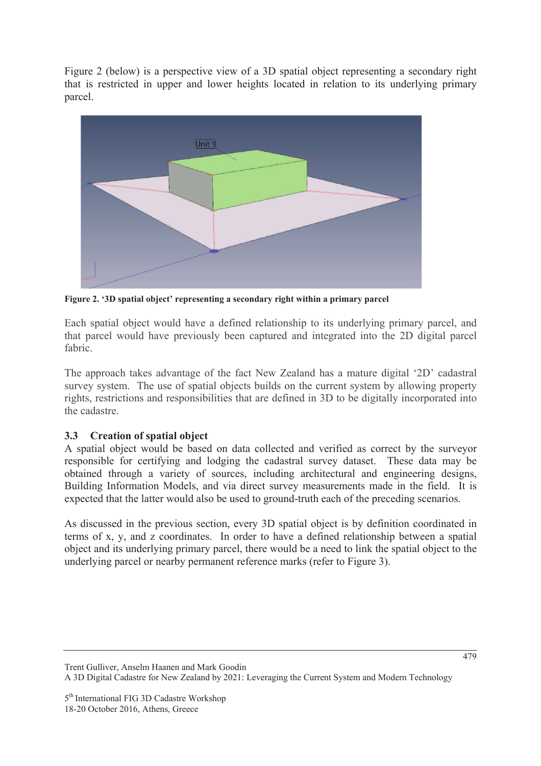Figure 2 (below) is a perspective view of a 3D spatial object representing a secondary right that is restricted in upper and lower heights located in relation to its underlying primary parcel.



**Figure 2. '3D spatial object' representing a secondary right within a primary parcel** 

Each spatial object would have a defined relationship to its underlying primary parcel, and that parcel would have previously been captured and integrated into the 2D digital parcel fabric.

The approach takes advantage of the fact New Zealand has a mature digital '2D' cadastral survey system. The use of spatial objects builds on the current system by allowing property rights, restrictions and responsibilities that are defined in 3D to be digitally incorporated into the cadastre.

## **3.3 Creation of spatial object**

A spatial object would be based on data collected and verified as correct by the surveyor responsible for certifying and lodging the cadastral survey dataset. These data may be obtained through a variety of sources, including architectural and engineering designs, Building Information Models, and via direct survey measurements made in the field. It is expected that the latter would also be used to ground-truth each of the preceding scenarios.

As discussed in the previous section, every 3D spatial object is by definition coordinated in terms of x, y, and z coordinates. In order to have a defined relationship between a spatial object and its underlying primary parcel, there would be a need to link the spatial object to the underlying parcel or nearby permanent reference marks (refer to Figure 3).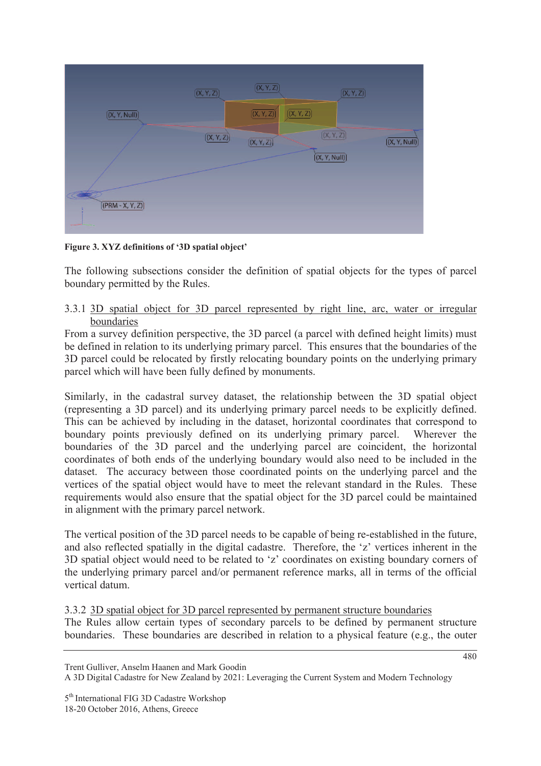

**Figure 3. XYZ definitions of '3D spatial object'** 

The following subsections consider the definition of spatial objects for the types of parcel boundary permitted by the Rules.

#### 3.3.1 3D spatial object for 3D parcel represented by right line, arc, water or irregular boundaries

From a survey definition perspective, the 3D parcel (a parcel with defined height limits) must be defined in relation to its underlying primary parcel. This ensures that the boundaries of the 3D parcel could be relocated by firstly relocating boundary points on the underlying primary parcel which will have been fully defined by monuments.

Similarly, in the cadastral survey dataset, the relationship between the 3D spatial object (representing a 3D parcel) and its underlying primary parcel needs to be explicitly defined. This can be achieved by including in the dataset, horizontal coordinates that correspond to boundary points previously defined on its underlying primary parcel. Wherever the boundaries of the 3D parcel and the underlying parcel are coincident, the horizontal coordinates of both ends of the underlying boundary would also need to be included in the dataset. The accuracy between those coordinated points on the underlying parcel and the vertices of the spatial object would have to meet the relevant standard in the Rules. These requirements would also ensure that the spatial object for the 3D parcel could be maintained in alignment with the primary parcel network.

The vertical position of the 3D parcel needs to be capable of being re-established in the future, and also reflected spatially in the digital cadastre. Therefore, the 'z' vertices inherent in the 3D spatial object would need to be related to 'z' coordinates on existing boundary corners of the underlying primary parcel and/or permanent reference marks, all in terms of the official vertical datum.

3.3.2 3D spatial object for 3D parcel represented by permanent structure boundaries

The Rules allow certain types of secondary parcels to be defined by permanent structure boundaries. These boundaries are described in relation to a physical feature (e.g., the outer

Trent Gulliver, Anselm Haanen and Mark Goodin

A 3D Digital Cadastre for New Zealand by 2021: Leveraging the Current System and Modern Technology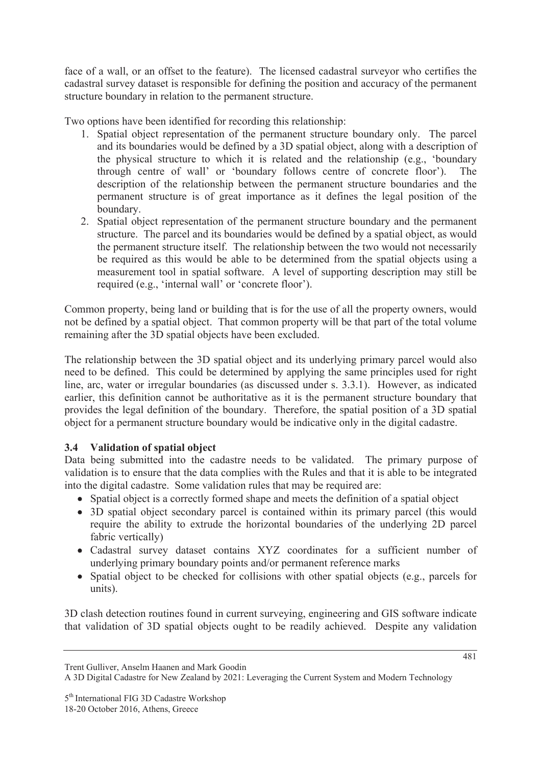face of a wall, or an offset to the feature). The licensed cadastral surveyor who certifies the cadastral survey dataset is responsible for defining the position and accuracy of the permanent structure boundary in relation to the permanent structure.

Two options have been identified for recording this relationship:

- 1. Spatial object representation of the permanent structure boundary only. The parcel and its boundaries would be defined by a 3D spatial object, along with a description of the physical structure to which it is related and the relationship (e.g., 'boundary through centre of wall' or 'boundary follows centre of concrete floor'). The description of the relationship between the permanent structure boundaries and the permanent structure is of great importance as it defines the legal position of the boundary.
- 2. Spatial object representation of the permanent structure boundary and the permanent structure. The parcel and its boundaries would be defined by a spatial object, as would the permanent structure itself. The relationship between the two would not necessarily be required as this would be able to be determined from the spatial objects using a measurement tool in spatial software. A level of supporting description may still be required (e.g., 'internal wall' or 'concrete floor').

Common property, being land or building that is for the use of all the property owners, would not be defined by a spatial object. That common property will be that part of the total volume remaining after the 3D spatial objects have been excluded.

The relationship between the 3D spatial object and its underlying primary parcel would also need to be defined. This could be determined by applying the same principles used for right line, arc, water or irregular boundaries (as discussed under s. 3.3.1). However, as indicated earlier, this definition cannot be authoritative as it is the permanent structure boundary that provides the legal definition of the boundary. Therefore, the spatial position of a 3D spatial object for a permanent structure boundary would be indicative only in the digital cadastre.

## **3.4 Validation of spatial object**

Data being submitted into the cadastre needs to be validated. The primary purpose of validation is to ensure that the data complies with the Rules and that it is able to be integrated into the digital cadastre. Some validation rules that may be required are:

- Spatial object is a correctly formed shape and meets the definition of a spatial object
- 3D spatial object secondary parcel is contained within its primary parcel (this would require the ability to extrude the horizontal boundaries of the underlying 2D parcel fabric vertically)
- x Cadastral survey dataset contains XYZ coordinates for a sufficient number of underlying primary boundary points and/or permanent reference marks
- Spatial object to be checked for collisions with other spatial objects (e.g., parcels for units).

3D clash detection routines found in current surveying, engineering and GIS software indicate that validation of 3D spatial objects ought to be readily achieved. Despite any validation

Trent Gulliver, Anselm Haanen and Mark Goodin

A 3D Digital Cadastre for New Zealand by 2021: Leveraging the Current System and Modern Technology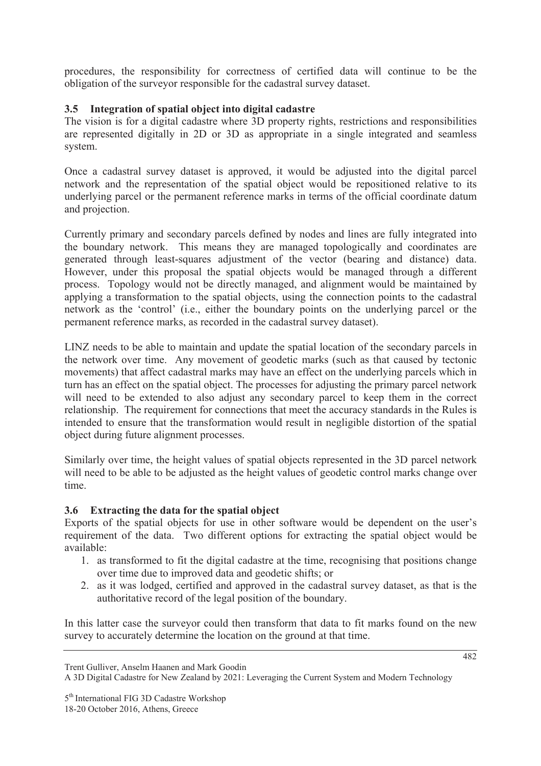procedures, the responsibility for correctness of certified data will continue to be the obligation of the surveyor responsible for the cadastral survey dataset.

## **3.5 Integration of spatial object into digital cadastre**

The vision is for a digital cadastre where 3D property rights, restrictions and responsibilities are represented digitally in 2D or 3D as appropriate in a single integrated and seamless system.

Once a cadastral survey dataset is approved, it would be adjusted into the digital parcel network and the representation of the spatial object would be repositioned relative to its underlying parcel or the permanent reference marks in terms of the official coordinate datum and projection.

Currently primary and secondary parcels defined by nodes and lines are fully integrated into the boundary network. This means they are managed topologically and coordinates are generated through least-squares adjustment of the vector (bearing and distance) data. However, under this proposal the spatial objects would be managed through a different process. Topology would not be directly managed, and alignment would be maintained by applying a transformation to the spatial objects, using the connection points to the cadastral network as the 'control' (i.e., either the boundary points on the underlying parcel or the permanent reference marks, as recorded in the cadastral survey dataset).

LINZ needs to be able to maintain and update the spatial location of the secondary parcels in the network over time. Any movement of geodetic marks (such as that caused by tectonic movements) that affect cadastral marks may have an effect on the underlying parcels which in turn has an effect on the spatial object. The processes for adjusting the primary parcel network will need to be extended to also adjust any secondary parcel to keep them in the correct relationship. The requirement for connections that meet the accuracy standards in the Rules is intended to ensure that the transformation would result in negligible distortion of the spatial object during future alignment processes.

Similarly over time, the height values of spatial objects represented in the 3D parcel network will need to be able to be adjusted as the height values of geodetic control marks change over time.

### **3.6 Extracting the data for the spatial object**

Exports of the spatial objects for use in other software would be dependent on the user's requirement of the data. Two different options for extracting the spatial object would be available:

- 1. as transformed to fit the digital cadastre at the time, recognising that positions change over time due to improved data and geodetic shifts; or
- 2. as it was lodged, certified and approved in the cadastral survey dataset, as that is the authoritative record of the legal position of the boundary.

In this latter case the surveyor could then transform that data to fit marks found on the new survey to accurately determine the location on the ground at that time.

Trent Gulliver, Anselm Haanen and Mark Goodin

A 3D Digital Cadastre for New Zealand by 2021: Leveraging the Current System and Modern Technology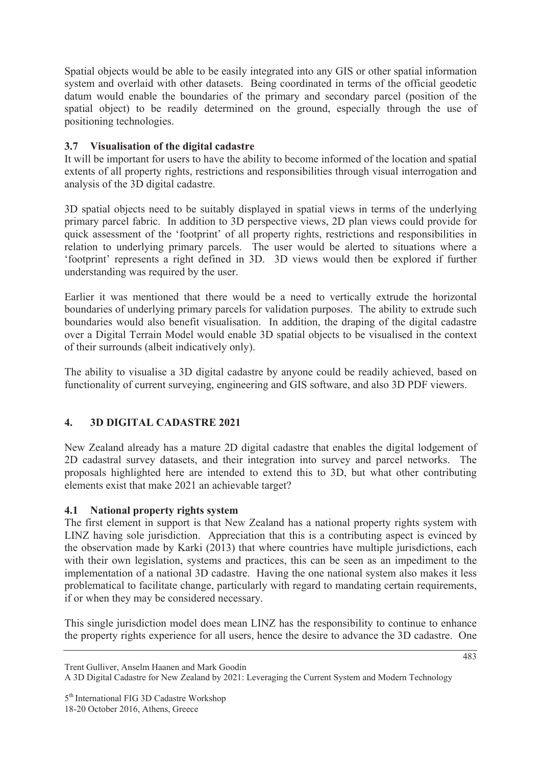Spatial objects would be able to be easily integrated into any GIS or other spatial information system and overlaid with other datasets. Being coordinated in terms of the official geodetic datum would enable the boundaries of the primary and secondary parcel (position of the spatial object) to be readily determined on the ground, especially through the use of positioning technologies.

## **3.7 Visualisation of the digital cadastre**

It will be important for users to have the ability to become informed of the location and spatial extents of all property rights, restrictions and responsibilities through visual interrogation and analysis of the 3D digital cadastre.

3D spatial objects need to be suitably displayed in spatial views in terms of the underlying primary parcel fabric. In addition to 3D perspective views, 2D plan views could provide for quick assessment of the 'footprint' of all property rights, restrictions and responsibilities in relation to underlying primary parcels. The user would be alerted to situations where a 'footprint' represents a right defined in 3D. 3D views would then be explored if further understanding was required by the user.

Earlier it was mentioned that there would be a need to vertically extrude the horizontal boundaries of underlying primary parcels for validation purposes. The ability to extrude such boundaries would also benefit visualisation. In addition, the draping of the digital cadastre over a Digital Terrain Model would enable 3D spatial objects to be visualised in the context of their surrounds (albeit indicatively only).

The ability to visualise a 3D digital cadastre by anyone could be readily achieved, based on functionality of current surveying, engineering and GIS software, and also 3D PDF viewers.

## **4. 3D DIGITAL CADASTRE 2021**

New Zealand already has a mature 2D digital cadastre that enables the digital lodgement of 2D cadastral survey datasets, and their integration into survey and parcel networks. The proposals highlighted here are intended to extend this to 3D, but what other contributing elements exist that make 2021 an achievable target?

### **4.1 National property rights system**

The first element in support is that New Zealand has a national property rights system with LINZ having sole jurisdiction. Appreciation that this is a contributing aspect is evinced by the observation made by Karki (2013) that where countries have multiple jurisdictions, each with their own legislation, systems and practices, this can be seen as an impediment to the implementation of a national 3D cadastre. Having the one national system also makes it less problematical to facilitate change, particularly with regard to mandating certain requirements, if or when they may be considered necessary.

This single jurisdiction model does mean LINZ has the responsibility to continue to enhance the property rights experience for all users, hence the desire to advance the 3D cadastre. One

Trent Gulliver, Anselm Haanen and Mark Goodin

A 3D Digital Cadastre for New Zealand by 2021: Leveraging the Current System and Modern Technology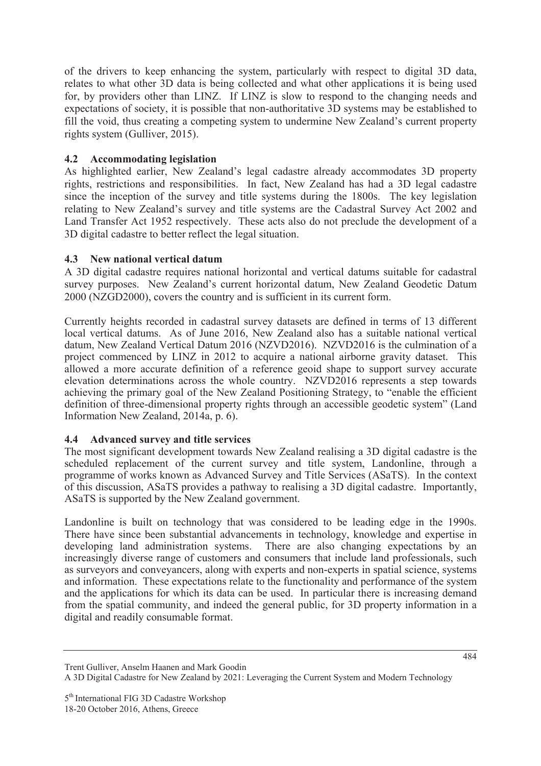of the drivers to keep enhancing the system, particularly with respect to digital 3D data, relates to what other 3D data is being collected and what other applications it is being used for, by providers other than LINZ. If LINZ is slow to respond to the changing needs and expectations of society, it is possible that non-authoritative 3D systems may be established to fill the void, thus creating a competing system to undermine New Zealand's current property rights system (Gulliver, 2015).

## **4.2 Accommodating legislation**

As highlighted earlier, New Zealand's legal cadastre already accommodates 3D property rights, restrictions and responsibilities. In fact, New Zealand has had a 3D legal cadastre since the inception of the survey and title systems during the 1800s. The key legislation relating to New Zealand's survey and title systems are the Cadastral Survey Act 2002 and Land Transfer Act 1952 respectively. These acts also do not preclude the development of a 3D digital cadastre to better reflect the legal situation.

### **4.3 New national vertical datum**

A 3D digital cadastre requires national horizontal and vertical datums suitable for cadastral survey purposes. New Zealand's current horizontal datum, New Zealand Geodetic Datum 2000 (NZGD2000), covers the country and is sufficient in its current form.

Currently heights recorded in cadastral survey datasets are defined in terms of 13 different local vertical datums. As of June 2016, New Zealand also has a suitable national vertical datum, New Zealand Vertical Datum 2016 (NZVD2016). NZVD2016 is the culmination of a project commenced by LINZ in 2012 to acquire a national airborne gravity dataset. This allowed a more accurate definition of a reference geoid shape to support survey accurate elevation determinations across the whole country. NZVD2016 represents a step towards achieving the primary goal of the New Zealand Positioning Strategy, to "enable the efficient definition of three-dimensional property rights through an accessible geodetic system" (Land Information New Zealand, 2014a, p. 6).

### **4.4 Advanced survey and title services**

The most significant development towards New Zealand realising a 3D digital cadastre is the scheduled replacement of the current survey and title system, Landonline, through a programme of works known as Advanced Survey and Title Services (ASaTS). In the context of this discussion, ASaTS provides a pathway to realising a 3D digital cadastre. Importantly, ASaTS is supported by the New Zealand government.

Landonline is built on technology that was considered to be leading edge in the 1990s. There have since been substantial advancements in technology, knowledge and expertise in developing land administration systems. There are also changing expectations by an increasingly diverse range of customers and consumers that include land professionals, such as surveyors and conveyancers, along with experts and non-experts in spatial science, systems and information. These expectations relate to the functionality and performance of the system and the applications for which its data can be used. In particular there is increasing demand from the spatial community, and indeed the general public, for 3D property information in a digital and readily consumable format.

Trent Gulliver, Anselm Haanen and Mark Goodin A 3D Digital Cadastre for New Zealand by 2021: Leveraging the Current System and Modern Technology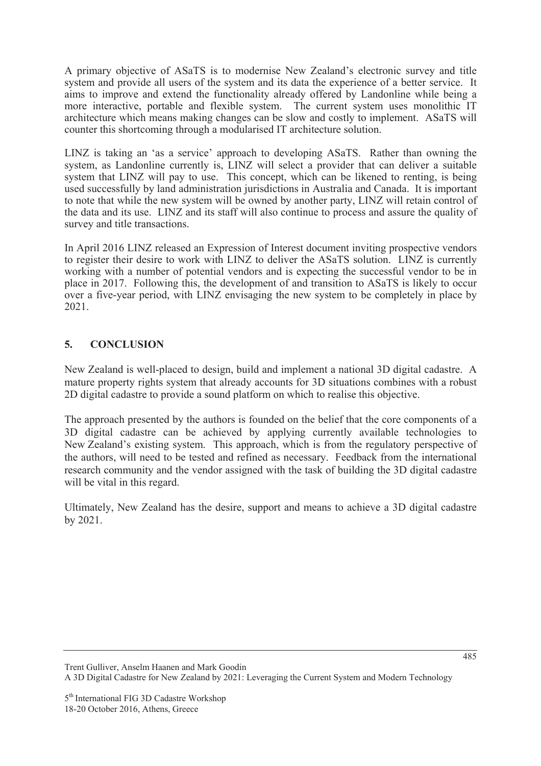A primary objective of ASaTS is to modernise New Zealand's electronic survey and title system and provide all users of the system and its data the experience of a better service. It aims to improve and extend the functionality already offered by Landonline while being a more interactive, portable and flexible system. The current system uses monolithic IT architecture which means making changes can be slow and costly to implement. ASaTS will counter this shortcoming through a modularised IT architecture solution.

LINZ is taking an 'as a service' approach to developing ASaTS. Rather than owning the system, as Landonline currently is, LINZ will select a provider that can deliver a suitable system that LINZ will pay to use. This concept, which can be likened to renting, is being used successfully by land administration jurisdictions in Australia and Canada. It is important to note that while the new system will be owned by another party, LINZ will retain control of the data and its use. LINZ and its staff will also continue to process and assure the quality of survey and title transactions.

In April 2016 LINZ released an Expression of Interest document inviting prospective vendors to register their desire to work with LINZ to deliver the ASaTS solution. LINZ is currently working with a number of potential vendors and is expecting the successful vendor to be in place in 2017. Following this, the development of and transition to ASaTS is likely to occur over a five-year period, with LINZ envisaging the new system to be completely in place by 2021.

# **5. CONCLUSION**

New Zealand is well-placed to design, build and implement a national 3D digital cadastre. A mature property rights system that already accounts for 3D situations combines with a robust 2D digital cadastre to provide a sound platform on which to realise this objective.

The approach presented by the authors is founded on the belief that the core components of a 3D digital cadastre can be achieved by applying currently available technologies to New Zealand's existing system. This approach, which is from the regulatory perspective of the authors, will need to be tested and refined as necessary. Feedback from the international research community and the vendor assigned with the task of building the 3D digital cadastre will be vital in this regard.

Ultimately, New Zealand has the desire, support and means to achieve a 3D digital cadastre by 2021.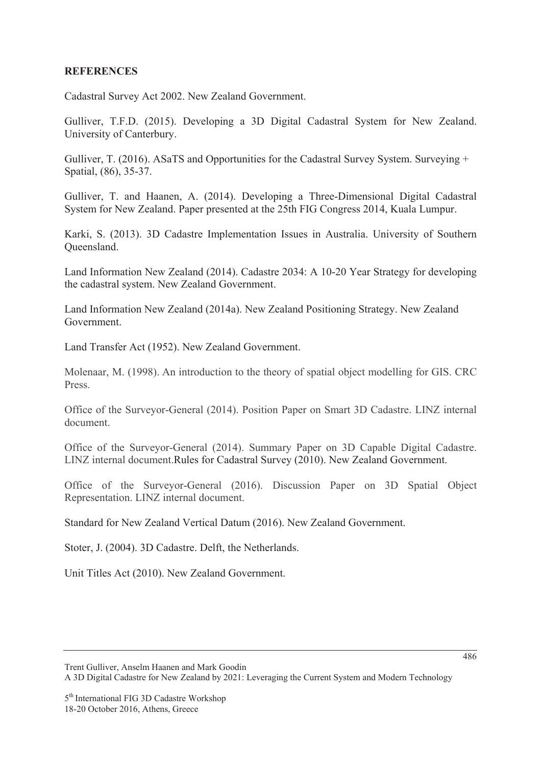#### **REFERENCES**

Cadastral Survey Act 2002. New Zealand Government.

Gulliver, T.F.D. (2015). Developing a 3D Digital Cadastral System for New Zealand. University of Canterbury.

Gulliver, T. (2016). ASaTS and Opportunities for the Cadastral Survey System. Surveying + Spatial, (86), 35-37.

Gulliver, T. and Haanen, A. (2014). Developing a Three-Dimensional Digital Cadastral System for New Zealand. Paper presented at the 25th FIG Congress 2014, Kuala Lumpur.

Karki, S. (2013). 3D Cadastre Implementation Issues in Australia. University of Southern Queensland.

Land Information New Zealand (2014). Cadastre 2034: A 10-20 Year Strategy for developing the cadastral system. New Zealand Government.

Land Information New Zealand (2014a). New Zealand Positioning Strategy. New Zealand Government.

Land Transfer Act (1952). New Zealand Government.

Molenaar, M. (1998). An introduction to the theory of spatial object modelling for GIS. CRC Press.

Office of the Surveyor-General (2014). Position Paper on Smart 3D Cadastre. LINZ internal document.

Office of the Surveyor-General (2014). Summary Paper on 3D Capable Digital Cadastre. LINZ internal document.Rules for Cadastral Survey (2010). New Zealand Government.

Office of the Surveyor-General (2016). Discussion Paper on 3D Spatial Object Representation. LINZ internal document.

Standard for New Zealand Vertical Datum (2016). New Zealand Government.

Stoter, J. (2004). 3D Cadastre. Delft, the Netherlands.

Unit Titles Act (2010). New Zealand Government.

A 3D Digital Cadastre for New Zealand by 2021: Leveraging the Current System and Modern Technology

Trent Gulliver, Anselm Haanen and Mark Goodin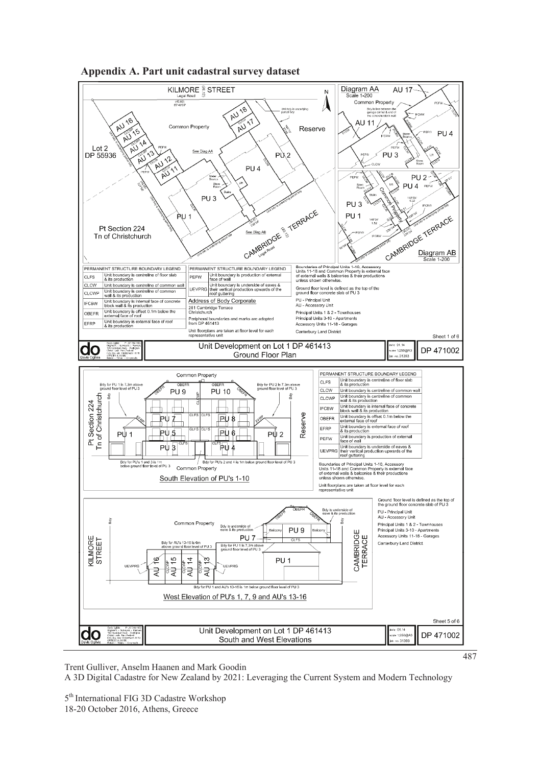



Trent Gulliver, Anselm Haanen and Mark Goodin

A 3D Digital Cadastre for New Zealand by 2021: Leveraging the Current System and Modern Technology

5<sup>th</sup> International FIG 3D Cadastre Workshop 18-20 October 2016, Athens, Greece

487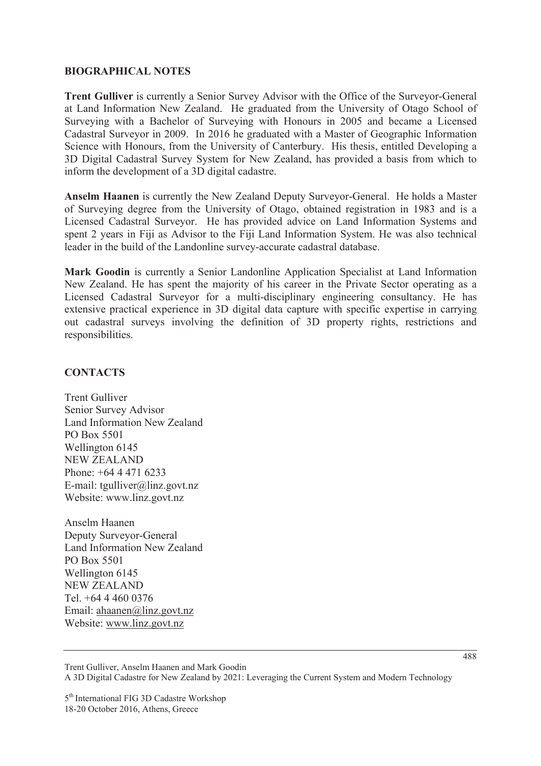#### **BIOGRAPHICAL NOTES**

**Trent Gulliver** is currently a Senior Survey Advisor with the Office of the Surveyor-General at Land Information New Zealand. He graduated from the University of Otago School of Surveying with a Bachelor of Surveying with Honours in 2005 and became a Licensed Cadastral Surveyor in 2009. In 2016 he graduated with a Master of Geographic Information Science with Honours, from the University of Canterbury. His thesis, entitled Developing a 3D Digital Cadastral Survey System for New Zealand, has provided a basis from which to inform the development of a 3D digital cadastre.

**Anselm Haanen** is currently the New Zealand Deputy Surveyor-General. He holds a Master of Surveying degree from the University of Otago, obtained registration in 1983 and is a Licensed Cadastral Surveyor. He has provided advice on Land Information Systems and spent 2 years in Fiji as Advisor to the Fiji Land Information System. He was also technical leader in the build of the Landonline survey-accurate cadastral database.

**Mark Goodin** is currently a Senior Landonline Application Specialist at Land Information New Zealand. He has spent the majority of his career in the Private Sector operating as a Licensed Cadastral Surveyor for a multi-disciplinary engineering consultancy. He has extensive practical experience in 3D digital data capture with specific expertise in carrying out cadastral surveys involving the definition of 3D property rights, restrictions and responsibilities.

#### **CONTACTS**

Trent Gulliver Senior Survey Advisor Land Information New Zealand PO Box 5501 Wellington 6145 NEW ZEALAND Phone: +64 4 471 6233 E-mail: tgulliver@linz.govt.nz Website: www.linz.govt.nz

Anselm Haanen Deputy Surveyor-General Land Information New Zealand PO Box 5501 Wellington 6145 NEW ZEALAND Tel. +64 4 460 0376 Email: ahaanen@linz.govt.nz Website: www.linz.govt.nz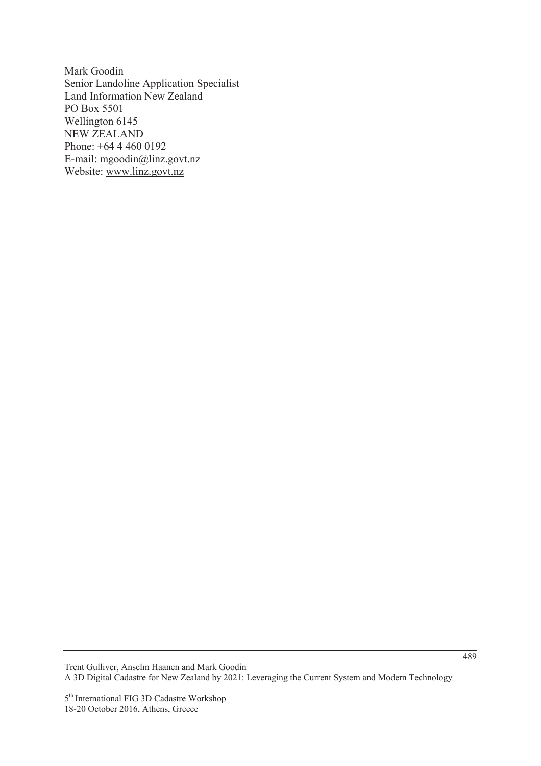Mark Goodin Senior Landoline Application Specialist Land Information New Zealand PO Box 5501 Wellington 6145 NEW ZEALAND Phone: +64 4 460 0192 E-mail: mgoodin@linz.govt.nz Website: www.linz.govt.nz